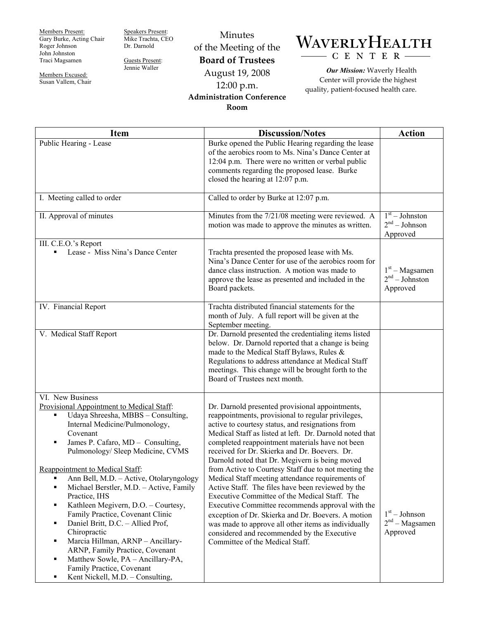Members Present: Gary Burke, Acting Chair Roger Johnson John Johnston Traci Magsamen

Members Excused: Susan Vallem, Chair Speakers Present: Mike Trachta, CEO Dr. Darnold

Guests Present: Jennie Waller

Minutes of the Meeting of the **Board of Trustees**  August 19, 2008 12:00 p.m. **Administration Conference Room** 

## WAVERLYHEALTH CENTER-

*Our Mission:* Waverly Health Center will provide the highest quality, patient-focused health care.

| <b>Item</b>                                                                                                                                                                                                                                                                                                                                                                                                                                                                                                                                                                                                                                                                                                                | <b>Discussion/Notes</b>                                                                                                                                                                                                                                                                                                                                                                                                                                                                                                                                                                                                                                                                                                                                                                                                                         | <b>Action</b>                                                 |
|----------------------------------------------------------------------------------------------------------------------------------------------------------------------------------------------------------------------------------------------------------------------------------------------------------------------------------------------------------------------------------------------------------------------------------------------------------------------------------------------------------------------------------------------------------------------------------------------------------------------------------------------------------------------------------------------------------------------------|-------------------------------------------------------------------------------------------------------------------------------------------------------------------------------------------------------------------------------------------------------------------------------------------------------------------------------------------------------------------------------------------------------------------------------------------------------------------------------------------------------------------------------------------------------------------------------------------------------------------------------------------------------------------------------------------------------------------------------------------------------------------------------------------------------------------------------------------------|---------------------------------------------------------------|
| Public Hearing - Lease                                                                                                                                                                                                                                                                                                                                                                                                                                                                                                                                                                                                                                                                                                     | Burke opened the Public Hearing regarding the lease<br>of the aerobics room to Ms. Nina's Dance Center at<br>12:04 p.m. There were no written or verbal public<br>comments regarding the proposed lease. Burke<br>closed the hearing at 12:07 p.m.                                                                                                                                                                                                                                                                                                                                                                                                                                                                                                                                                                                              |                                                               |
| I. Meeting called to order                                                                                                                                                                                                                                                                                                                                                                                                                                                                                                                                                                                                                                                                                                 | Called to order by Burke at 12:07 p.m.                                                                                                                                                                                                                                                                                                                                                                                                                                                                                                                                                                                                                                                                                                                                                                                                          |                                                               |
| II. Approval of minutes                                                                                                                                                                                                                                                                                                                                                                                                                                                                                                                                                                                                                                                                                                    | Minutes from the 7/21/08 meeting were reviewed. A<br>motion was made to approve the minutes as written.                                                                                                                                                                                                                                                                                                                                                                                                                                                                                                                                                                                                                                                                                                                                         | $\overline{1^{st}}$ – Johnston<br>$2nd - Johnson$<br>Approved |
| III. C.E.O.'s Report<br>Lease - Miss Nina's Dance Center<br>٠                                                                                                                                                                                                                                                                                                                                                                                                                                                                                                                                                                                                                                                              | Trachta presented the proposed lease with Ms.<br>Nina's Dance Center for use of the aerobics room for<br>dance class instruction. A motion was made to<br>approve the lease as presented and included in the<br>Board packets.                                                                                                                                                                                                                                                                                                                                                                                                                                                                                                                                                                                                                  | $1st - Magsamen$<br>$2nd - Johnson$<br>Approved               |
| IV. Financial Report                                                                                                                                                                                                                                                                                                                                                                                                                                                                                                                                                                                                                                                                                                       | Trachta distributed financial statements for the<br>month of July. A full report will be given at the<br>September meeting.                                                                                                                                                                                                                                                                                                                                                                                                                                                                                                                                                                                                                                                                                                                     |                                                               |
| V. Medical Staff Report                                                                                                                                                                                                                                                                                                                                                                                                                                                                                                                                                                                                                                                                                                    | Dr. Darnold presented the credentialing items listed<br>below. Dr. Darnold reported that a change is being<br>made to the Medical Staff Bylaws, Rules &<br>Regulations to address attendance at Medical Staff<br>meetings. This change will be brought forth to the<br>Board of Trustees next month.                                                                                                                                                                                                                                                                                                                                                                                                                                                                                                                                            |                                                               |
| VI. New Business<br>Provisional Appointment to Medical Staff:<br>Udaya Shreesha, MBBS - Consulting,<br>٠<br>Internal Medicine/Pulmonology,<br>Covenant<br>James P. Cafaro, MD - Consulting,<br>П<br>Pulmonology/Sleep Medicine, CVMS<br>Reappointment to Medical Staff:<br>Ann Bell, M.D. - Active, Otolaryngology<br>Michael Berstler, M.D. - Active, Family<br>٠<br>Practice, IHS<br>Kathleen Megivern, D.O. - Courtesy,<br>٠<br>Family Practice, Covenant Clinic<br>Daniel Britt, D.C. - Allied Prof,<br>٠<br>Chiropractic<br>Marcia Hillman, ARNP - Ancillary-<br>٠<br>ARNP, Family Practice, Covenant<br>Matthew Sowle, PA - Ancillary-PA,<br>٠<br>Family Practice, Covenant<br>Kent Nickell, M.D. - Consulting,<br>٠ | Dr. Darnold presented provisional appointments,<br>reappointments, provisional to regular privileges,<br>active to courtesy status, and resignations from<br>Medical Staff as listed at left. Dr. Darnold noted that<br>completed reappointment materials have not been<br>received for Dr. Skierka and Dr. Boevers. Dr.<br>Darnold noted that Dr. Megivern is being moved<br>from Active to Courtesy Staff due to not meeting the<br>Medical Staff meeting attendance requirements of<br>Active Staff. The files have been reviewed by the<br>Executive Committee of the Medical Staff. The<br>Executive Committee recommends approval with the<br>exception of Dr. Skierka and Dr. Boevers. A motion<br>was made to approve all other items as individually<br>considered and recommended by the Executive<br>Committee of the Medical Staff. | $1st - Johnson$<br>$2nd - Magsamen$<br>Approved               |